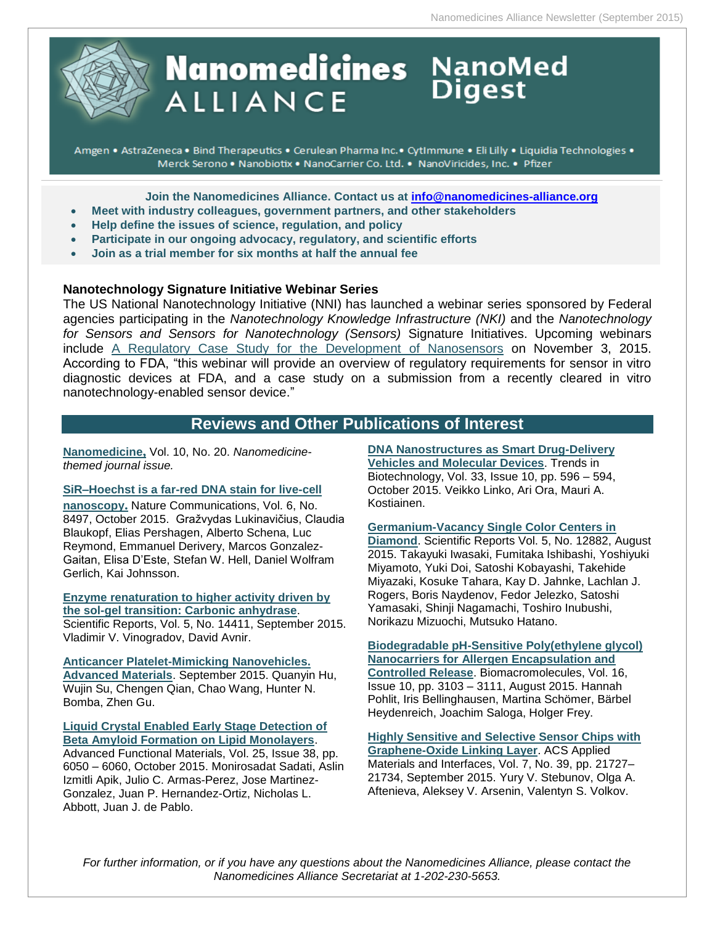

# **Nanomedicines** NanoMed **ALLIANCE**

Amgen • AstraZeneca • Bind Therapeutics • Cerulean Pharma Inc. • CytImmune • Eli Lilly • Liquidia Technologies • Merck Serono . Nanobiotix . NanoCarrier Co. Ltd. . NanoViricides, Inc. . Pfizer

**Join the Nanomedicines Alliance. Contact us at [info@nanomedicines-alliance.org](mailto:info@nanomedicines-alliance.org)**

- **Meet with industry colleagues, government partners, and other stakeholders**
- **Relp define the issues of science, regulation, and policy**
- **Participate in our ongoing advocacy, regulatory, and scientific efforts**
- **Join as a trial member for six months at half the annual fee**

#### **Nanotechnology Signature Initiative Webinar Series**

The US National Nanotechnology Initiative (NNI) has launched a webinar series sponsored by Federal agencies participating in the *Nanotechnology Knowledge Infrastructure (NKI)* and the *Nanotechnology for Sensors and Sensors for Nanotechnology (Sensors)* Signature Initiatives. Upcoming webinars include [A Regulatory Case Study for the Development of Nanosensors](https://events-na12.adobeconnect.com/content/connect/c1/1305935587/en/events/event/shared/default_template_simple/event_landing.html?sco-id=1424126741&_charset_=utf-8) on November 3, 2015. According to FDA, "this webinar will provide an overview of regulatory requirements for sensor in vitro diagnostic devices at FDA, and a case study on a submission from a recently cleared in vitro nanotechnology-enabled sensor device."

# **Reviews and Other Publications of Interest**

**[Nanomedicine](http://www.futuremedicine.com/toc/nnm/10/20),** Vol. 10, No. 20. *Nanomedicinethemed journal issue.*

**[SiR–Hoechst is a far-red DNA stain for live-cell](http://www.nature.com/ncomms/2015/151001/ncomms9497/full/ncomms9497.html)  [nanoscopy](http://www.nature.com/ncomms/2015/151001/ncomms9497/full/ncomms9497.html).** Nature Communications, Vol. 6, No. 8497, October 2015. Gražvydas Lukinavičius, Claudia Blaukopf, Elias Pershagen, Alberto Schena, Luc Reymond, Emmanuel Derivery, Marcos Gonzalez-Gaitan, Elisa D'Este, Stefan W. Hell, Daniel Wolfram Gerlich, Kai Johnsson.

**[Enzyme renaturation to higher activity driven by](http://www.nature.com/articles/srep14411)  [the sol-gel transition: Carbonic anhydrase](http://www.nature.com/articles/srep14411)**. Scientific Reports, Vol. 5, No. 14411, September 2015. Vladimir V. Vinogradov, David Avnir.

**[Anticancer Platelet-Mimicking Nanovehicles.](http://onlinelibrary.wiley.com/doi/10.1002/adma.201503323/abstract)  [Advanced Materials](http://onlinelibrary.wiley.com/doi/10.1002/adma.201503323/abstract)**. September 2015. Quanyin Hu, Wujin Su, Chengen Qian, Chao Wang, Hunter N. Bomba, Zhen Gu.

**[Liquid Crystal Enabled Early Stage Detection of](http://onlinelibrary.wiley.com/doi/10.1002/adfm.201502830/abstract)  [Beta Amyloid Formation on Lipid Monolayers](http://onlinelibrary.wiley.com/doi/10.1002/adfm.201502830/abstract)**.

Advanced Functional Materials, Vol. 25, Issue 38, pp. 6050 – 6060, October 2015. Monirosadat Sadati, Aslin Izmitli Apik, Julio C. Armas-Perez, Jose Martinez-Gonzalez, Juan P. Hernandez-Ortiz, Nicholas L. Abbott, Juan J. de Pablo.

#### **[DNA Nanostructures as Smart Drug-Delivery](http://www.cell.com/trends/biotechnology/abstract/S0167-7799%2815%2900161-4?_returnURL=http%3A%2F%2Flinkinghub.elsevier.com%2Fretrieve%2Fpii%2FS0167779915001614%3Fshowall%3Dtrue)**

**[Vehicles and Molecular Devices](http://www.cell.com/trends/biotechnology/abstract/S0167-7799%2815%2900161-4?_returnURL=http%3A%2F%2Flinkinghub.elsevier.com%2Fretrieve%2Fpii%2FS0167779915001614%3Fshowall%3Dtrue)**. Trends in Biotechnology, Vol. 33, Issue 10, pp. 596 – 594, October 2015. Veikko Linko, Ari Ora, Mauri A. Kostiainen.

#### **[Germanium-Vacancy Single Color Centers in](http://www.nature.com/articles/srep12882)**

**[Diamond](http://www.nature.com/articles/srep12882)**. Scientific Reports Vol. 5, No. 12882, August 2015. Takayuki Iwasaki, Fumitaka Ishibashi, Yoshiyuki Miyamoto, Yuki Doi, Satoshi Kobayashi, Takehide Miyazaki, Kosuke Tahara, Kay D. Jahnke, Lachlan J. Rogers, Boris Naydenov, Fedor Jelezko, Satoshi Yamasaki, Shinji Nagamachi, Toshiro Inubushi, Norikazu Mizuochi, Mutsuko Hatano.

**[Biodegradable pH-Sensitive Poly\(ethylene glycol\)](http://pubs.acs.org/doi/10.1021/acs.biomac.5b00458)  [Nanocarriers for Allergen Encapsulation and](http://pubs.acs.org/doi/10.1021/acs.biomac.5b00458)  [Controlled Release](http://pubs.acs.org/doi/10.1021/acs.biomac.5b00458)**. Biomacromolecules, Vol. 16, Issue 10, pp. 3103 – 3111, August 2015. Hannah Pohlit, Iris Bellinghausen, Martina Schömer, Bärbel Heydenreich, Joachim Saloga, Holger Frey.

**[Highly Sensitive and Selective Sensor Chips with](http://pubs.acs.org/doi/10.1021/acsami.5b04427)  [Graphene-Oxide Linking Layer](http://pubs.acs.org/doi/10.1021/acsami.5b04427)**. ACS Applied Materials and Interfaces, Vol. 7, No. 39, pp. 21727– 21734, September 2015. Yury V. Stebunov, Olga A. Aftenieva, Aleksey V. Arsenin, Valentyn S. Volkov.

*For further information, or if you have any questions about the Nanomedicines Alliance, please contact the Nanomedicines Alliance Secretariat at 1-202-230-5653.*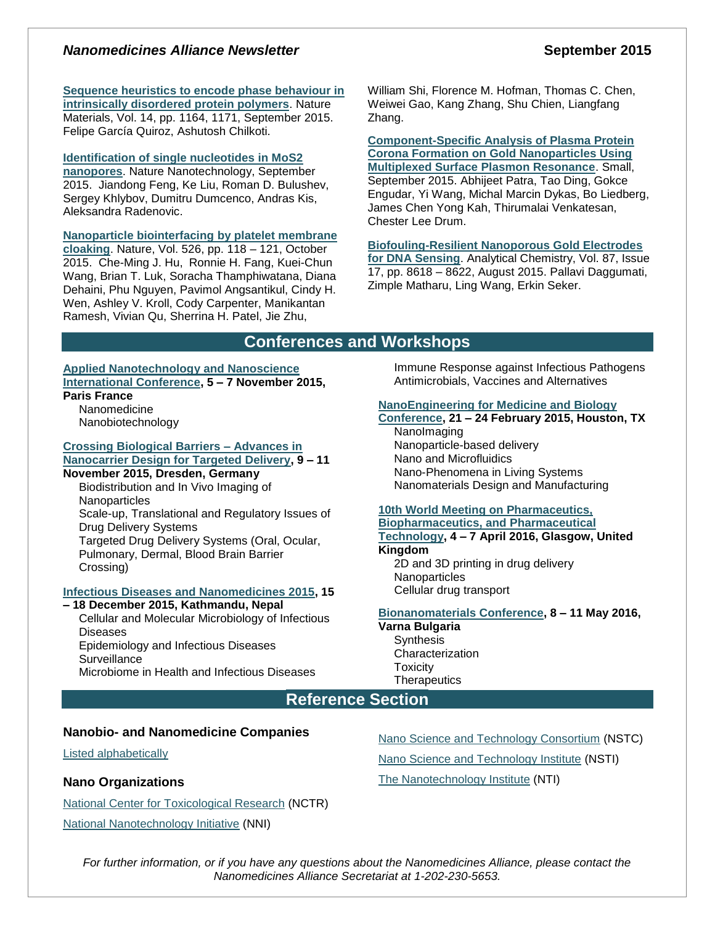# *Nanomedicines Alliance Newsletter* **September 2015**

**[Sequence heuristics to encode phase behaviour in](http://www.nature.com/nmat/journal/v14/n11/full/nmat4418.html)** 

**[intrinsically disordered protein polymers](http://www.nature.com/nmat/journal/v14/n11/full/nmat4418.html)**. Nature Materials, Vol. 14, pp. 1164, 1171, September 2015. Felipe García Quiroz, Ashutosh Chilkoti.

# **[Identification of single nucleotides in MoS2](http://www.nature.com/nnano/journal/vaop/ncurrent/full/nnano.2015.219.html)**

**[nanopores](http://www.nature.com/nnano/journal/vaop/ncurrent/full/nnano.2015.219.html)**. Nature Nanotechnology, September 2015. Jiandong Feng, Ke Liu, Roman D. Bulushev, Sergey Khlybov, Dumitru Dumcenco, Andras Kis, Aleksandra Radenovic.

#### **[Nanoparticle biointerfacing](http://www.nature.com/nature/journal/v526/n7571/full/nature15373.html) by platelet membrane**

**[cloaking](http://www.nature.com/nature/journal/v526/n7571/full/nature15373.html)**. Nature, Vol. 526, pp. 118 – 121, October 2015. Che-Ming J. Hu, Ronnie H. Fang, Kuei-Chun Wang, Brian T. Luk, Soracha Thamphiwatana, Diana Dehaini, Phu Nguyen, Pavimol Angsantikul, Cindy H. Wen, Ashley V. Kroll, Cody Carpenter, Manikantan Ramesh, Vivian Qu, Sherrina H. Patel, Jie Zhu,

William Shi, Florence M. Hofman, Thomas C. Chen, Weiwei Gao, Kang Zhang, Shu Chien, Liangfang Zhang.

**[Component-Specific Analysis of Plasma Protein](http://onlinelibrary.wiley.com/doi/10.1002/smll.201501603/abstract)  [Corona Formation on Gold Nanoparticles Using](http://onlinelibrary.wiley.com/doi/10.1002/smll.201501603/abstract)  [Multiplexed Surface Plasmon Resonance](http://onlinelibrary.wiley.com/doi/10.1002/smll.201501603/abstract)**. Small, September 2015. Abhijeet Patra, Tao Ding, Gokce Engudar, Yi Wang, Michal Marcin Dykas, Bo Liedberg, James Chen Yong Kah, Thirumalai Venkatesan, Chester Lee Drum.

**[Biofouling-Resilient Nanoporous Gold Electrodes](http://pubs.acs.org/doi/10.1021/acs.analchem.5b02969)  [for DNA Sensing](http://pubs.acs.org/doi/10.1021/acs.analchem.5b02969)**. Analytical Chemistry, Vol. 87, Issue 17, pp. 8618 – 8622, August 2015. Pallavi Daggumati, Zimple Matharu, Ling Wang, Erkin Seker.

# **Conferences and Workshops**

#### **[Applied Nanotechnology and Nanoscience](http://www.annic2015.org/)  [International Conference,](http://www.annic2015.org/) 5 – 7 November 2015, Paris France**

Nanomedicine

Nanobiotechnology

#### **[Crossing Biological Barriers –](http://ec.europa.eu/research/index.cfm?pg=events&eventcode=9D4D1F8C-A9D2-D06C-2B60AA77AF593EB3) Advances in [Nanocarrier Design for Targeted Delivery,](http://ec.europa.eu/research/index.cfm?pg=events&eventcode=9D4D1F8C-A9D2-D06C-2B60AA77AF593EB3) 9 – 11**

**November 2015, Dresden, Germany**

Biodistribution and In Vivo Imaging of **Nanoparticles** Scale-up, Translational and Regulatory Issues of Drug Delivery Systems Targeted Drug Delivery Systems (Oral, Ocular, Pulmonary, Dermal, Blood Brain Barrier Crossing)

#### **[Infectious Diseases and Nanomedicines 2015,](http://www.icidn2015.com/programs.php) 15**

**– 18 December 2015, Kathmandu, Nepal**

Cellular and Molecular Microbiology of Infectious **Diseases** 

Epidemiology and Infectious Diseases **Surveillance** 

Microbiome in Health and Infectious Diseases

Immune Response against Infectious Pathogens Antimicrobials, Vaccines and Alternatives

#### **[NanoEngineering for Medicine and Biology](https://www.asme.org/events/nemb.aspx)**

**[Conference,](https://www.asme.org/events/nemb.aspx) 21 – 24 February 2015, Houston, TX** NanoImaging Nanoparticle-based delivery Nano and Microfluidics Nano-Phenomena in Living Systems Nanomaterials Design and Manufacturing

#### **[10th World Meeting on Pharmaceutics,](http://www.worldmeeting.org/home/)  [Biopharmaceutics, and Pharmaceutical](http://www.worldmeeting.org/home/)  [Technology,](http://www.worldmeeting.org/home/) 4 – 7 April 2016, Glasgow, United Kingdom**

2D and 3D printing in drug delivery **Nanoparticles** Cellular drug transport

#### **[Bionanomaterials Conference,](http://www.zingconferences.com/conferences/6th-zing-bionanomaterials-conference/) 8 – 11 May 2016,**

#### **Varna Bulgaria**

**Synthesis Characterization Toxicity Therapeutics** 

# **Reference Section**

#### **Nanobio- and Nanomedicine Companies**

[Listed alphabetically](http://www.nanowerk.com/nanotechnology/nanomaterial/nanobiomedicine_a.php)

#### **Nano Organizations**

[National Center for Toxicological Research](http://www.fda.gov/AboutFDA/CentersOffices/NCTR/default.htm) (NCTR) [National Nanotechnology Initiative](http://www.nano.gov/) (NNI)

[Nano Science and Technology Consortium](http://www.nstc.in/) (NSTC) [Nano Science and Technology Institute](http://www.nsti.org/) (NSTI) The [Nanotechnology Institute](http://nanotechinstitute.org/) (NTI)

*For further information, or if you have any questions about the Nanomedicines Alliance, please contact the Nanomedicines Alliance Secretariat at 1-202-230-5653.*